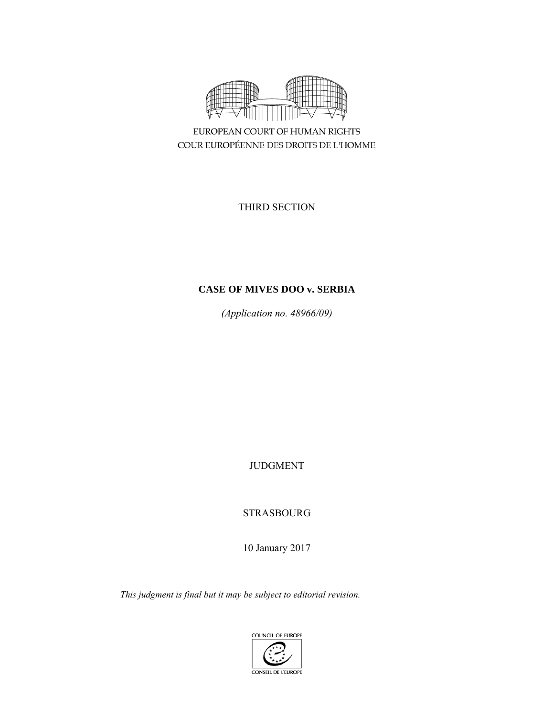

EUROPEAN COURT OF HUMAN RIGHTS COUR EUROPÉENNE DES DROITS DE L'HOMME

THIRD SECTION

# **CASE OF MIVES DOO v. SERBIA**

*(Application no. 48966/09)* 

JUDGMENT

STRASBOURG

10 January 2017

*This judgment is final but it may be subject to editorial revision.*

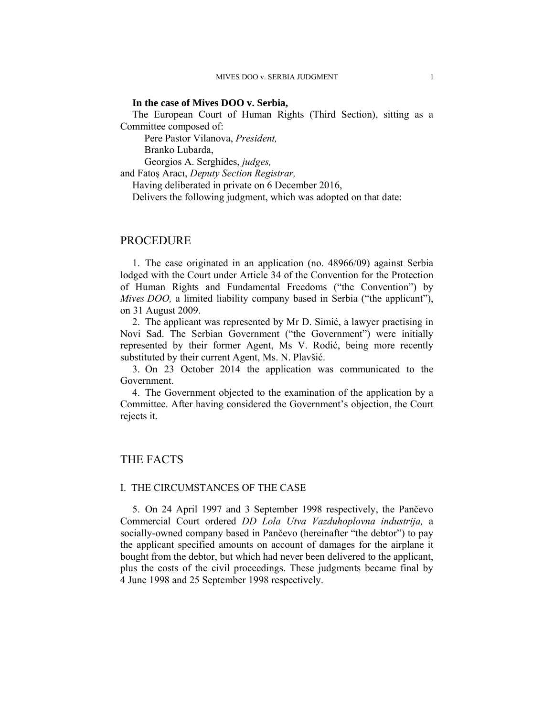### **In the case of Mives DOO v. Serbia,**

The European Court of Human Rights (Third Section), sitting as a Committee composed of:

Pere Pastor Vilanova, *President,* 

Branko Lubarda,

Georgios A. Serghides, *judges,*

and Fatoş Aracı, *Deputy Section Registrar,*

Having deliberated in private on 6 December 2016,

Delivers the following judgment, which was adopted on that date:

# PROCEDURE

1. The case originated in an application (no. 48966/09) against Serbia lodged with the Court under Article 34 of the Convention for the Protection of Human Rights and Fundamental Freedoms ("the Convention") by *Mives DOO*, a limited liability company based in Serbia ("the applicant"), on 31 August 2009.

2. The applicant was represented by Mr D. Simić, a lawyer practising in Novi Sad. The Serbian Government ("the Government") were initially represented by their former Agent, Ms V. Rodić, being more recently substituted by their current Agent, Ms. N. Plavšić.

3. On 23 October 2014 the application was communicated to the Government.

4. The Government objected to the examination of the application by a Committee. After having considered the Government's objection, the Court rejects it.

# THE FACTS

### I. THE CIRCUMSTANCES OF THE CASE

5. On 24 April 1997 and 3 September 1998 respectively, the Pančevo Commercial Court ordered *DD Lola Utva Vazduhoplovna industrija,* a socially-owned company based in Pančevo (hereinafter "the debtor") to pay the applicant specified amounts on account of damages for the airplane it bought from the debtor, but which had never been delivered to the applicant, plus the costs of the civil proceedings. These judgments became final by 4 June 1998 and 25 September 1998 respectively.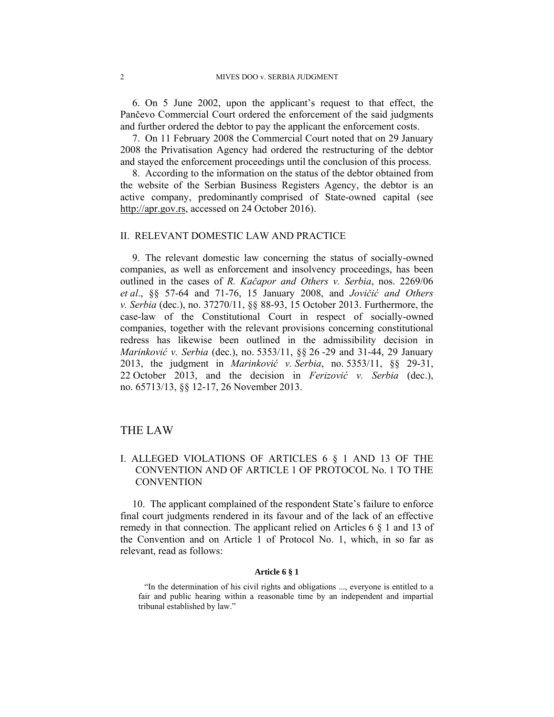6. On 5 June 2002, upon the applicant's request to that effect, the Pančevo Commercial Court ordered the enforcement of the said judgments and further ordered the debtor to pay the applicant the enforcement costs.

7. On 11 February 2008 the Commercial Court noted that on 29 January 2008 the Privatisation Agency had ordered the restructuring of the debtor and stayed the enforcement proceedings until the conclusion of this process.

8. According to the information on the status of the debtor obtained from the website of the Serbian Business Registers Agency, the debtor is an active company, predominantly comprised of State-owned capital (see http://apr.gov.rs, accessed on 24 October 2016).

## II. RELEVANT DOMESTIC LAW AND PRACTICE

9. The relevant domestic law concerning the status of socially-owned companies, as well as enforcement and insolvency proceedings, has been outlined in the cases of *R. Kačapor and Others v. Serbia*, nos. 2269/06 *et al*., §§ 57-64 and 71-76, 15 January 2008, and *Jovičić and Others v. Serbia* (dec.), no. 37270/11, §§ 88-93, 15 October 2013. Furthermore, the case-law of the Constitutional Court in respect of socially-owned companies, together with the relevant provisions concerning constitutional redress has likewise been outlined in the admissibility decision in *Marinković v. Serbia* (dec.), no. 5353/11, §§ 26 -29 and 31-44, 29 January 2013, the judgment in *Marinković v. Serbia*, no. 5353/11, §§ 29-31, 22 October 2013, and the decision in *Ferizović v. Serbia* (dec.), no. 65713/13, §§ 12-17, 26 November 2013.

# THE LAW

# I. ALLEGED VIOLATIONS OF ARTICLES 6 § 1 AND 13 OF THE CONVENTION AND OF ARTICLE 1 OF PROTOCOL No. 1 TO THE **CONVENTION**

10. The applicant complained of the respondent State's failure to enforce final court judgments rendered in its favour and of the lack of an effective remedy in that connection. The applicant relied on Articles 6 § 1 and 13 of the Convention and on Article 1 of Protocol No. 1, which, in so far as relevant, read as follows:

#### **Article 6 § 1**

<sup>&</sup>quot;In the determination of his civil rights and obligations ..., everyone is entitled to a fair and public hearing within a reasonable time by an independent and impartial tribunal established by law."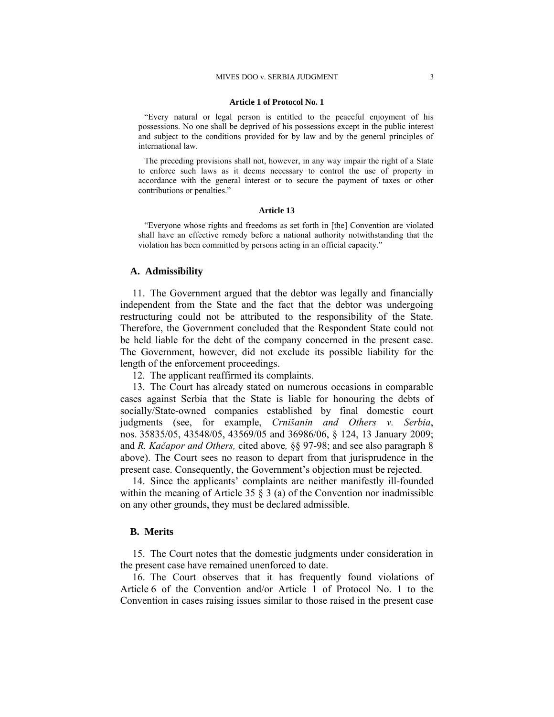#### MIVES DOO v. SERBIA JUDGMENT 3

#### **Article 1 of Protocol No. 1**

"Every natural or legal person is entitled to the peaceful enjoyment of his possessions. No one shall be deprived of his possessions except in the public interest and subject to the conditions provided for by law and by the general principles of international law.

The preceding provisions shall not, however, in any way impair the right of a State to enforce such laws as it deems necessary to control the use of property in accordance with the general interest or to secure the payment of taxes or other contributions or penalties."

#### **Article 13**

"Everyone whose rights and freedoms as set forth in [the] Convention are violated shall have an effective remedy before a national authority notwithstanding that the violation has been committed by persons acting in an official capacity."

# **A. Admissibility**

11. The Government argued that the debtor was legally and financially independent from the State and the fact that the debtor was undergoing restructuring could not be attributed to the responsibility of the State. Therefore, the Government concluded that the Respondent State could not be held liable for the debt of the company concerned in the present case. The Government, however, did not exclude its possible liability for the length of the enforcement proceedings.

12. The applicant reaffirmed its complaints.

13. The Court has already stated on numerous occasions in comparable cases against Serbia that the State is liable for honouring the debts of socially/State-owned companies established by final domestic court judgments (see, for example, *Crnišanin and Others v. Serbia*, nos. 35835/05, 43548/05, 43569/05 and 36986/06, § 124, 13 January 2009; and *R. Kačapor and Others,* cited above*,* §§ 97-98; and see also paragraph 8 above). The Court sees no reason to depart from that jurisprudence in the present case. Consequently, the Government's objection must be rejected.

14. Since the applicants' complaints are neither manifestly ill-founded within the meaning of Article 35  $\S$  3 (a) of the Convention nor inadmissible on any other grounds, they must be declared admissible.

### **B. Merits**

15. The Court notes that the domestic judgments under consideration in the present case have remained unenforced to date.

16. The Court observes that it has frequently found violations of Article 6 of the Convention and/or Article 1 of Protocol No. 1 to the Convention in cases raising issues similar to those raised in the present case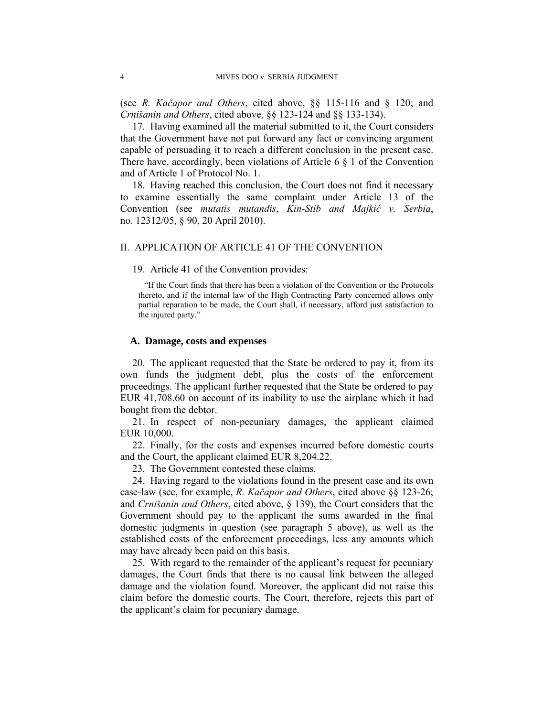(see *R. Kačapor and Others*, cited above, §§ 115-116 and § 120; and *Crnišanin and Others*, cited above, §§ 123-124 and §§ 133-134).

17. Having examined all the material submitted to it, the Court considers that the Government have not put forward any fact or convincing argument capable of persuading it to reach a different conclusion in the present case. There have, accordingly, been violations of Article 6  $\S$  1 of the Convention and of Article 1 of Protocol No. 1.

18. Having reached this conclusion, the Court does not find it necessary to examine essentially the same complaint under Article 13 of the Convention (see *mutatis mutandis*, *Kin-Stib and Majkić v. Serbia*, no. 12312/05, § 90, 20 April 2010).

## II. APPLICATION OF ARTICLE 41 OF THE CONVENTION

### 19. Article 41 of the Convention provides:

"If the Court finds that there has been a violation of the Convention or the Protocols thereto, and if the internal law of the High Contracting Party concerned allows only partial reparation to be made, the Court shall, if necessary, afford just satisfaction to the injured party."

### **A. Damage, costs and expenses**

20. The applicant requested that the State be ordered to pay it, from its own funds the judgment debt, plus the costs of the enforcement proceedings. The applicant further requested that the State be ordered to pay EUR 41,708.60 on account of its inability to use the airplane which it had bought from the debtor.

21. In respect of non-pecuniary damages, the applicant claimed EUR 10,000.

22. Finally, for the costs and expenses incurred before domestic courts and the Court, the applicant claimed EUR 8,204.22.

23. The Government contested these claims.

24. Having regard to the violations found in the present case and its own case-law (see, for example, *R. Kačapor and Others*, cited above §§ 123-26; and *Crnišanin and Others*, cited above, § 139), the Court considers that the Government should pay to the applicant the sums awarded in the final domestic judgments in question (see paragraph 5 above), as well as the established costs of the enforcement proceedings, less any amounts which may have already been paid on this basis.

25. With regard to the remainder of the applicant's request for pecuniary damages, the Court finds that there is no causal link between the alleged damage and the violation found. Moreover, the applicant did not raise this claim before the domestic courts. The Court, therefore, rejects this part of the applicant's claim for pecuniary damage.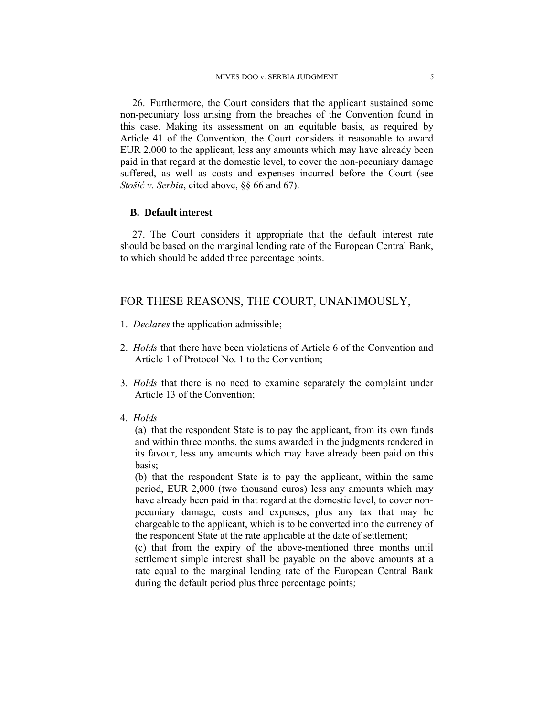26. Furthermore, the Court considers that the applicant sustained some non-pecuniary loss arising from the breaches of the Convention found in this case. Making its assessment on an equitable basis, as required by Article 41 of the Convention, the Court considers it reasonable to award EUR 2,000 to the applicant, less any amounts which may have already been paid in that regard at the domestic level, to cover the non-pecuniary damage suffered, as well as costs and expenses incurred before the Court (see *Stošić v. Serbia*, cited above, §§ 66 and 67).

### **B. Default interest**

27. The Court considers it appropriate that the default interest rate should be based on the marginal lending rate of the European Central Bank, to which should be added three percentage points.

# FOR THESE REASONS, THE COURT, UNANIMOUSLY,

- 1. *Declares* the application admissible;
- 2. *Holds* that there have been violations of Article 6 of the Convention and Article 1 of Protocol No. 1 to the Convention;
- 3. *Holds* that there is no need to examine separately the complaint under Article 13 of the Convention;
- 4. *Holds*

(a) that the respondent State is to pay the applicant, from its own funds and within three months, the sums awarded in the judgments rendered in its favour, less any amounts which may have already been paid on this basis;

(b) that the respondent State is to pay the applicant, within the same period, EUR 2,000 (two thousand euros) less any amounts which may have already been paid in that regard at the domestic level, to cover nonpecuniary damage, costs and expenses, plus any tax that may be chargeable to the applicant, which is to be converted into the currency of the respondent State at the rate applicable at the date of settlement;

(c) that from the expiry of the above-mentioned three months until settlement simple interest shall be payable on the above amounts at a rate equal to the marginal lending rate of the European Central Bank during the default period plus three percentage points;